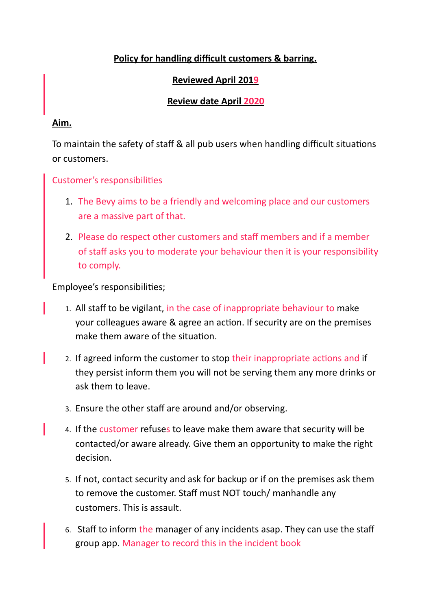## Policy for handling difficult customers & barring.

## **Reviewed April 2019**

## **Review date April 2020**

#### **Aim.**

To maintain the safety of staff & all pub users when handling difficult situations or customers.

Customer's responsibilities

- 1. The Bevy aims to be a friendly and welcoming place and our customers are a massive part of that.
- 2. Please do respect other customers and staff members and if a member of staff asks you to moderate your behaviour then it is your responsibility to comply.

Employee's responsibilities;

- 1. All staff to be vigilant, in the case of inappropriate behaviour to make your colleagues aware & agree an action. If security are on the premises make them aware of the situation.
- 2. If agreed inform the customer to stop their inappropriate actions and if they persist inform them you will not be serving them any more drinks or ask them to leave.
- 3. Ensure the other staff are around and/or observing.
- 4. If the customer refuses to leave make them aware that security will be contacted/or aware already. Give them an opportunity to make the right decision.
- 5. If not, contact security and ask for backup or if on the premises ask them to remove the customer. Staff must NOT touch/ manhandle any customers. This is assault.
- 6. Staff to inform the manager of any incidents asap. They can use the staff group app. Manager to record this in the incident book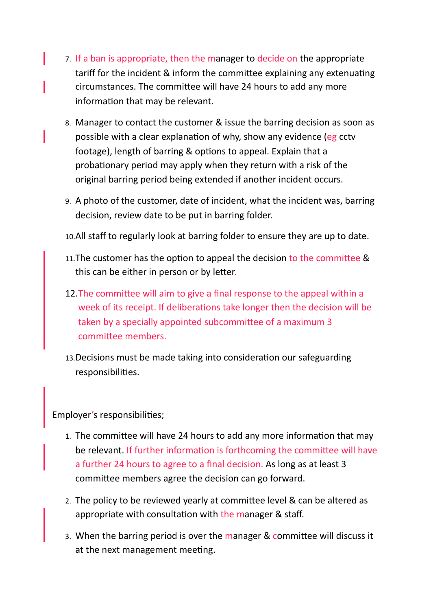- 7. If a ban is appropriate, then the manager to decide on the appropriate tariff for the incident & inform the committee explaining any extenuating circumstances. The committee will have 24 hours to add any more information that may be relevant.
- 8. Manager to contact the customer & issue the barring decision as soon as possible with a clear explanation of why, show any evidence (eg cctv footage), length of barring & options to appeal. Explain that a probationary period may apply when they return with a risk of the original barring period being extended if another incident occurs.
- 9. A photo of the customer, date of incident, what the incident was, barring decision, review date to be put in barring folder.
- 10.All staff to regularly look at barring folder to ensure they are up to date.
- 11. The customer has the option to appeal the decision to the committee & this can be either in person or by letter.
- 12. The committee will aim to give a final response to the appeal within a week of its receipt. If deliberations take longer then the decision will be taken by a specially appointed subcommittee of a maximum 3 committee members.
- 13. Decisions must be made taking into consideration our safeguarding responsibilities.

Employer's responsibilities;

- 1. The committee will have 24 hours to add any more information that may be relevant. If further information is forthcoming the committee will have a further 24 hours to agree to a final decision. As long as at least 3 committee members agree the decision can go forward.
- 2. The policy to be reviewed yearly at committee level & can be altered as appropriate with consultation with the manager & staff.
- 3. When the barring period is over the manager & committee will discuss it at the next management meeting.